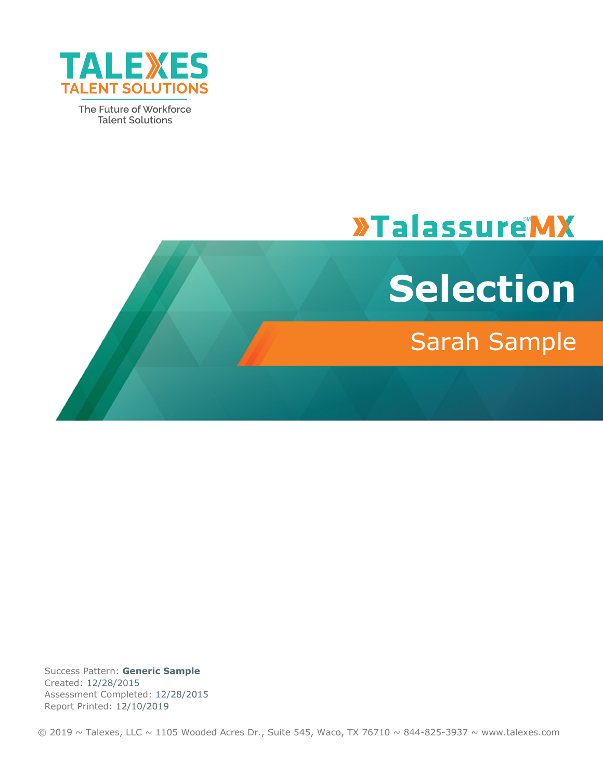

The Future of Workforce **Talent Solutions** 

# **»TalassureMX**



## Sarah Sample

Success Pattern: **Generic Sample** Created: 12/28/2015 Assessment Completed: 12/28/2015 Report Printed: 12/10/2019

 $\odot$  2019 ~ Talexes, LLC ~ 1105 Wooded Acres Dr., Suite 545, Waco, TX 76710 ~ 844-825-3937 ~ www.talexes.com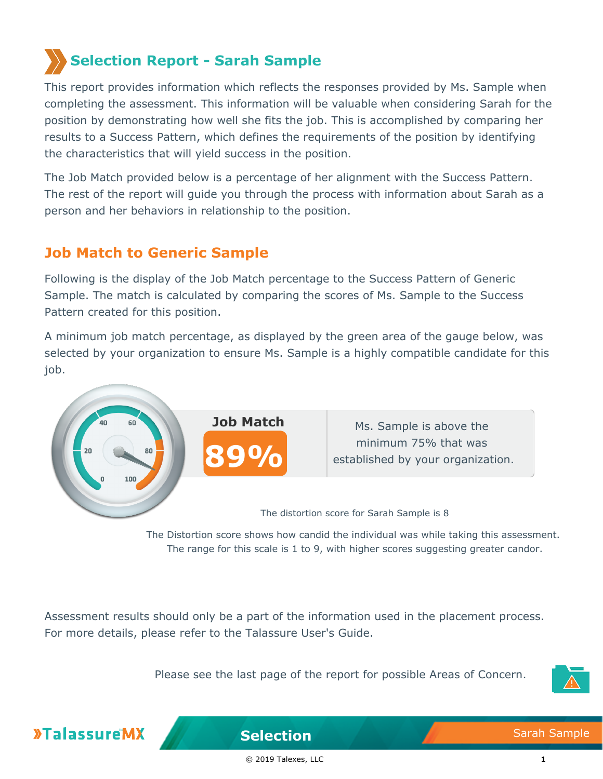## **Selection Report - Sarah Sample**

This report provides information which reflects the responses provided by Ms. Sample when completing the assessment. This information will be valuable when considering Sarah for the position by demonstrating how well she fits the job. This is accomplished by comparing her results to a Success Pattern, which defines the requirements of the position by identifying the characteristics that will yield success in the position.

The Job Match provided below is a percentage of her alignment with the Success Pattern. The rest of the report will guide you through the process with information about Sarah as a person and her behaviors in relationship to the position.

## **Job Match to Generic Sample**

Following is the display of the Job Match percentage to the Success Pattern of Generic Sample. The match is calculated by comparing the scores of Ms. Sample to the Success Pattern created for this position.

A minimum job match percentage, as displayed by the green area of the gauge below, was selected by your organization to ensure Ms. Sample is a highly compatible candidate for this job.



The Distortion score shows how candid the individual was while taking this assessment. The range for this scale is 1 to 9, with higher scores suggesting greater candor.

Assessment results should only be a part of the information used in the placement process. For more details, please refer to the Talassure User's Guide.

Please see the last page of the report for possible Areas of Concern.





**Selection** Sarah Sample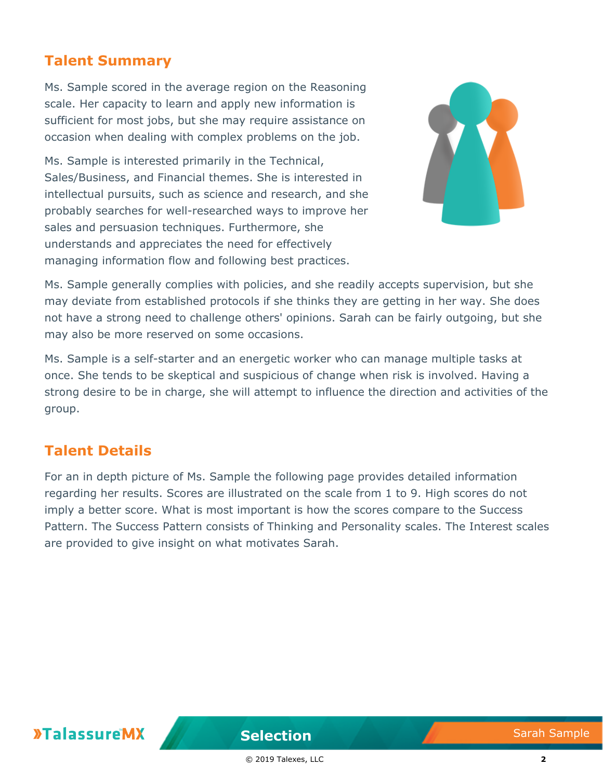## **Talent Summary**

Ms. Sample scored in the average region on the Reasoning scale. Her capacity to learn and apply new information is sufficient for most jobs, but she may require assistance on occasion when dealing with complex problems on the job.

Ms. Sample is interested primarily in the Technical, Sales/Business, and Financial themes. She is interested in intellectual pursuits, such as science and research, and she probably searches for well-researched ways to improve her sales and persuasion techniques. Furthermore, she understands and appreciates the need for effectively managing information flow and following best practices.



Ms. Sample generally complies with policies, and she readily accepts supervision, but she may deviate from established protocols if she thinks they are getting in her way. She does not have a strong need to challenge others' opinions. Sarah can be fairly outgoing, but she may also be more reserved on some occasions.

Ms. Sample is a self-starter and an energetic worker who can manage multiple tasks at once. She tends to be skeptical and suspicious of change when risk is involved. Having a strong desire to be in charge, she will attempt to influence the direction and activities of the group.

#### **Talent Details**

For an in depth picture of Ms. Sample the following page provides detailed information regarding her results. Scores are illustrated on the scale from 1 to 9. High scores do not imply a better score. What is most important is how the scores compare to the Success Pattern. The Success Pattern consists of Thinking and Personality scales. The Interest scales are provided to give insight on what motivates Sarah.

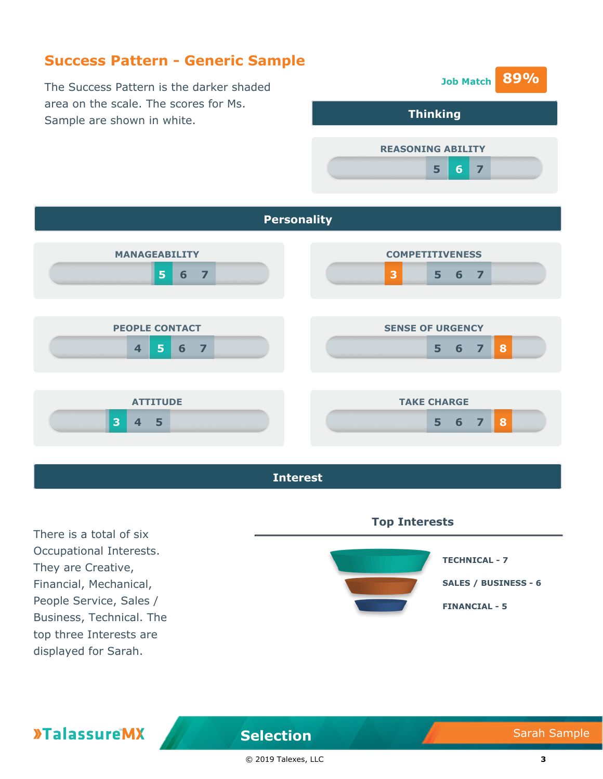### **Success Pattern - Generic Sample**

The Success Pattern is the darker shaded area on the scale. The scores for Ms. Sample are shown in white.







There is a total of six Occupational Interests. They are Creative, Financial, Mechanical, People Service, Sales / Business, Technical. The top three Interests are displayed for Sarah.

**»TalassureMX** 



#### **Selection** Sarah Sample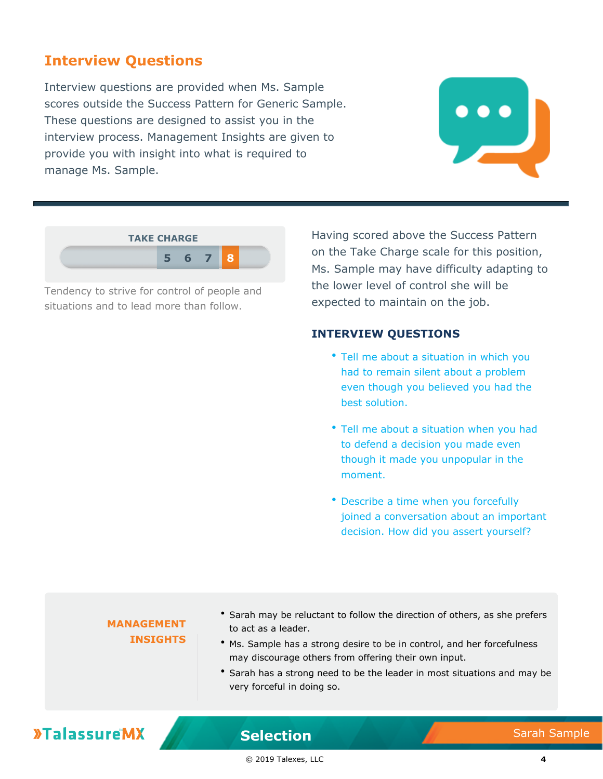#### **Interview Questions**

Interview questions are provided when Ms. Sample scores outside the Success Pattern for Generic Sample. These questions are designed to assist you in the interview process. Management Insights are given to provide you with insight into what is required to manage Ms. Sample.





Tendency to strive for control of people and situations and to lead more than follow.

Having scored above the Success Pattern on the Take Charge scale for this position, Ms. Sample may have difficulty adapting to the lower level of control she will be expected to maintain on the job.

#### **INTERVIEW QUESTIONS**

- Tell me about a situation in which you had to remain silent about a problem even though you believed you had the best solution.
- Tell me about a situation when you had to defend a decision you made even though it made you unpopular in the moment.
- Describe a time when you forcefully joined a conversation about an important decision. How did you assert yourself?

#### **MANAGEMENT INSIGHTS**

- Sarah may be reluctant to follow the direction of others, as she prefers to act as a leader.
- Ms. Sample has a strong desire to be in control, and her forcefulness may discourage others from offering their own input.
- Sarah has a strong need to be the leader in most situations and may be very forceful in doing so.

## **»TalassureMX**

**Selection** Sarah Sample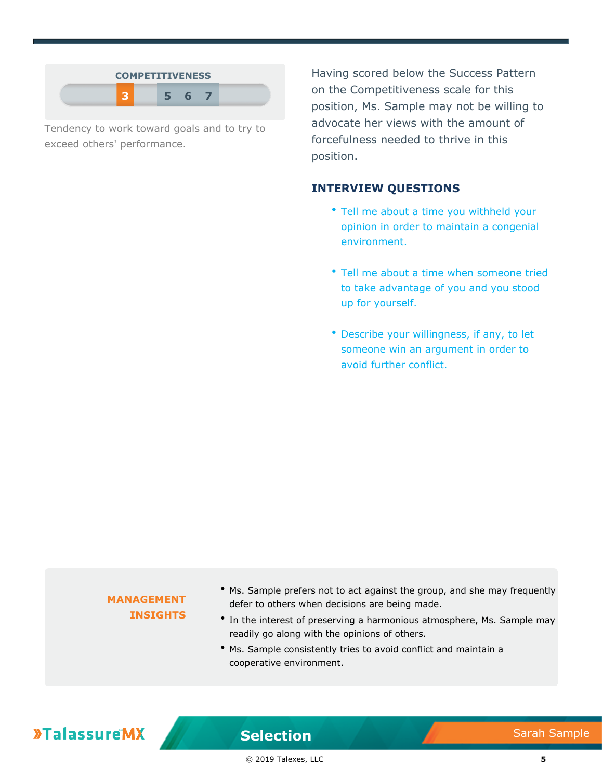| <b>COMPETITIVENESS</b> |   |  |
|------------------------|---|--|
|                        | F |  |

Tendency to work toward goals and to try to exceed others' performance.

Having scored below the Success Pattern on the Competitiveness scale for this position, Ms. Sample may not be willing to advocate her views with the amount of forcefulness needed to thrive in this position.

#### **INTERVIEW QUESTIONS**

- Tell me about a time you withheld your opinion in order to maintain a congenial environment.
- Tell me about a time when someone tried to take advantage of you and you stood up for yourself.
- Describe your willingness, if any, to let someone win an argument in order to avoid further conflict.

| <b>MANAGEMENT</b><br><b>INSIGHTS</b> | • Ms. Sample prefers not to act against the group, and she may frequently<br>defer to others when decisions are being made.<br>• In the interest of preserving a harmonious atmosphere, Ms. Sample may<br>readily go along with the opinions of others.<br>• Ms. Sample consistently tries to avoid conflict and maintain a<br>cooperative environment. |
|--------------------------------------|---------------------------------------------------------------------------------------------------------------------------------------------------------------------------------------------------------------------------------------------------------------------------------------------------------------------------------------------------------|
|                                      |                                                                                                                                                                                                                                                                                                                                                         |

## **»TalassureMX**

**Selection** Sarah Sample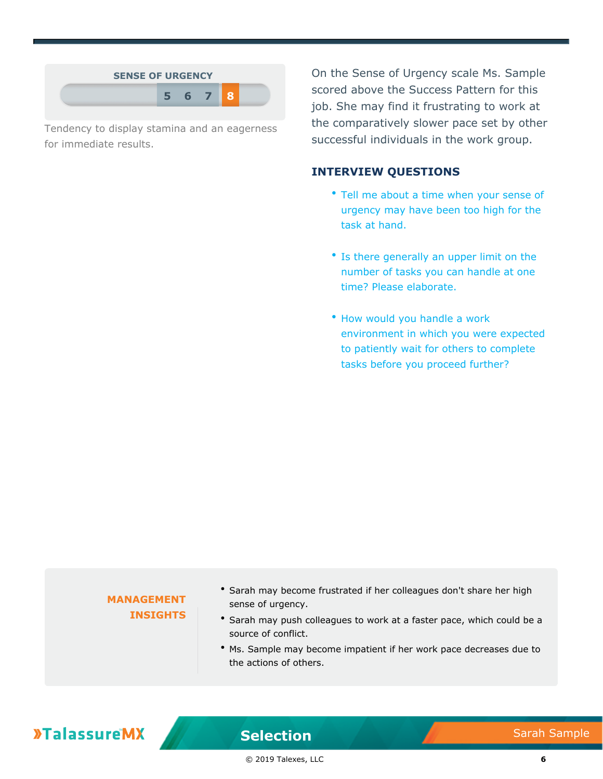| <b>SENSE OF URGENCY</b> |  |                |  |
|-------------------------|--|----------------|--|
|                         |  | 6 <sup>7</sup> |  |

Tendency to display stamina and an eagerness for immediate results.

On the Sense of Urgency scale Ms. Sample scored above the Success Pattern for this job. She may find it frustrating to work at the comparatively slower pace set by other successful individuals in the work group.

#### **INTERVIEW QUESTIONS**

- Tell me about a time when your sense of urgency may have been too high for the task at hand.
- Is there generally an upper limit on the number of tasks you can handle at one time? Please elaborate.
- How would you handle a work environment in which you were expected to patiently wait for others to complete tasks before you proceed further?

## **MANAGEMENT INSIGHTS** Sarah may become frustrated if her colleagues don't share her high sense of urgency. \* Sarah may push colleagues to work at a faster pace, which could be a source of conflict. Ms. Sample may become impatient if her work pace decreases due to the actions of others.

## **»TalassureMX**

**Selection** Sarah Sample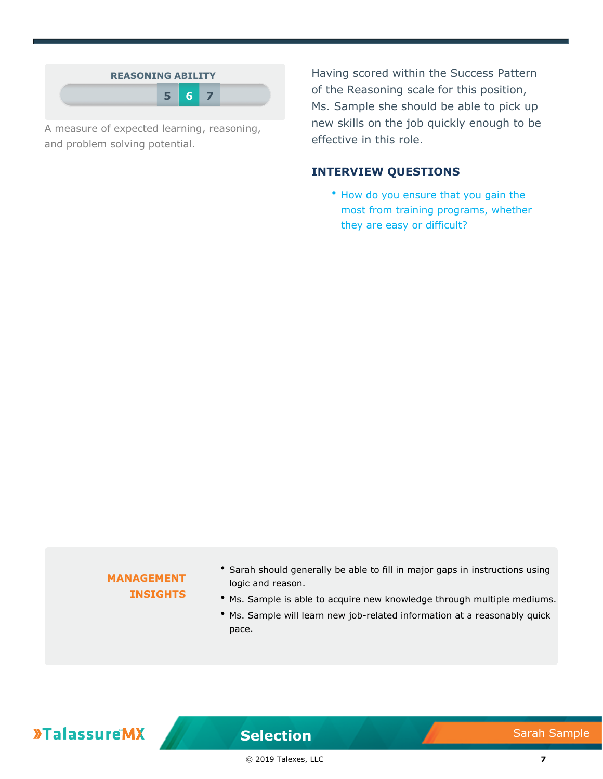

A measure of expected learning, reasoning, and problem solving potential.

Having scored within the Success Pattern of the Reasoning scale for this position, Ms. Sample she should be able to pick up new skills on the job quickly enough to be effective in this role.

#### **INTERVIEW QUESTIONS**

• How do you ensure that you gain the most from training programs, whether they are easy or difficult?

#### **MANAGEMENT INSIGHTS**

- Sarah should generally be able to fill in major gaps in instructions using logic and reason.
- Ms. Sample is able to acquire new knowledge through multiple mediums.
- Ms. Sample will learn new job-related information at a reasonably quick pace.

## **»TalassureMX**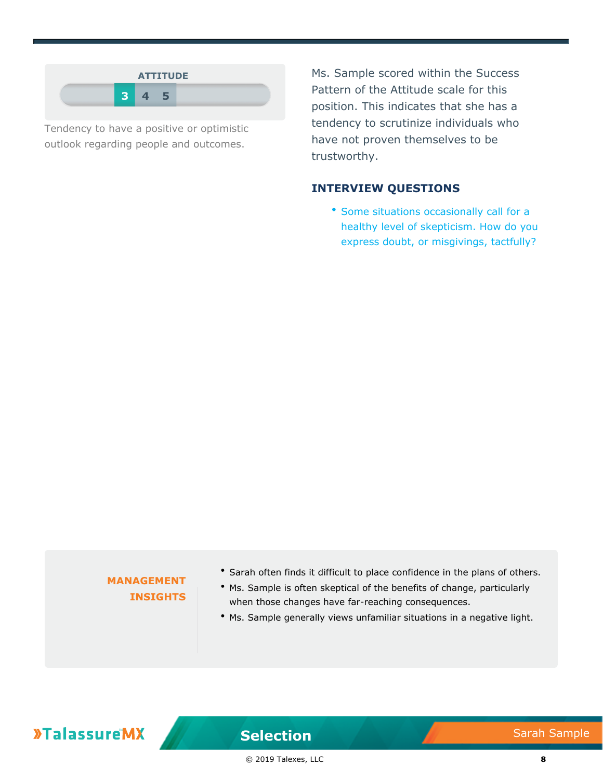

Tendency to have a positive or optimistic outlook regarding people and outcomes.

Ms. Sample scored within the Success Pattern of the Attitude scale for this position. This indicates that she has a tendency to scrutinize individuals who have not proven themselves to be trustworthy.

#### **INTERVIEW QUESTIONS**

• Some situations occasionally call for a healthy level of skepticism. How do you express doubt, or misgivings, tactfully?

#### **MANAGEMENT INSIGHTS**

- Sarah often finds it difficult to place confidence in the plans of others.
- Ms. Sample is often skeptical of the benefits of change, particularly when those changes have far-reaching consequences.
- Ms. Sample generally views unfamiliar situations in a negative light.

## **»TalassureMX**

**Selection** Sarah Sample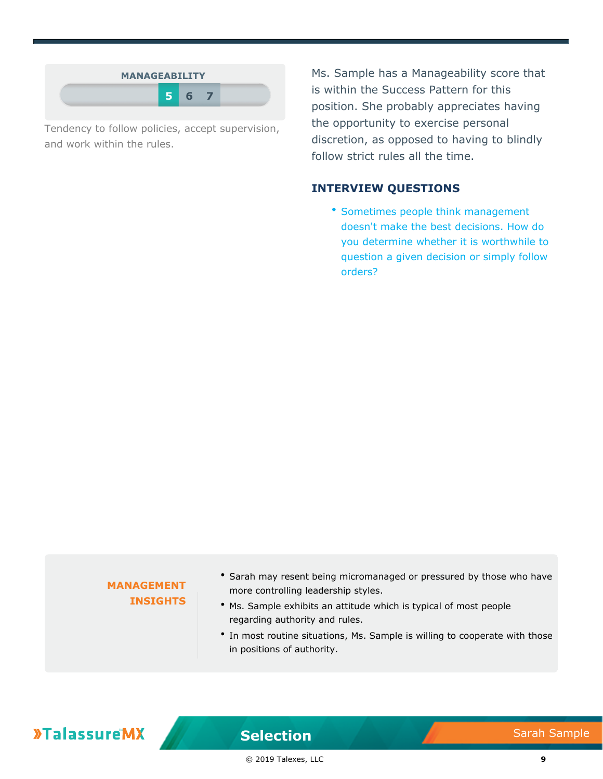| <b>MANAGEABILITY</b> |    |  |
|----------------------|----|--|
|                      | 56 |  |

Tendency to follow policies, accept supervision, and work within the rules.

Ms. Sample has a Manageability score that is within the Success Pattern for this position. She probably appreciates having the opportunity to exercise personal discretion, as opposed to having to blindly follow strict rules all the time.

#### **INTERVIEW QUESTIONS**

**\* Sometimes people think management** doesn't make the best decisions. How do you determine whether it is worthwhile to question a given decision or simply follow orders?

| regarding authority and rules.<br>• In most routine situations, Ms. Sample is willing to cooperate with those<br>in positions of authority. |
|---------------------------------------------------------------------------------------------------------------------------------------------|
|---------------------------------------------------------------------------------------------------------------------------------------------|

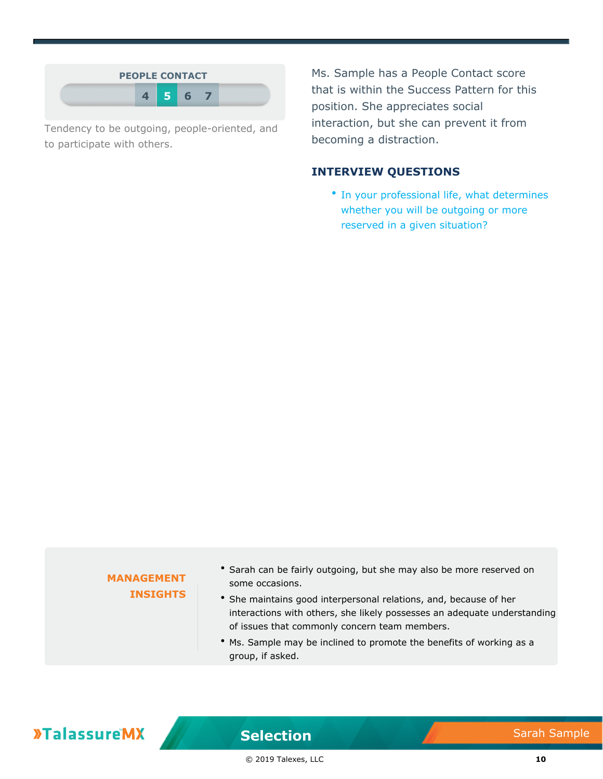

Tendency to be outgoing, people-oriented, and to participate with others.

Ms. Sample has a People Contact score that is within the Success Pattern for this position. She appreciates social interaction, but she can prevent it from becoming a distraction.

#### **INTERVIEW QUESTIONS**

• In your professional life, what determines whether you will be outgoing or more reserved in a given situation?

#### **MANAGEMENT INSIGHTS**

- \* Sarah can be fairly outgoing, but she may also be more reserved on some occasions.
- She maintains good interpersonal relations, and, because of her interactions with others, she likely possesses an adequate understanding of issues that commonly concern team members.
- Ms. Sample may be inclined to promote the benefits of working as a group, if asked.

## **»TalassureMX**